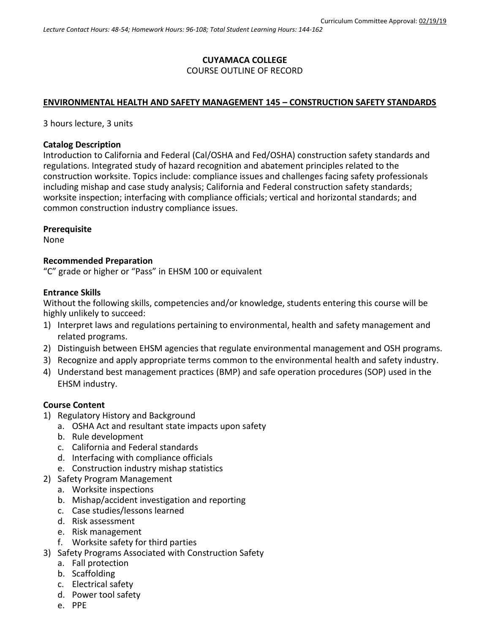### **CUYAMACA COLLEGE** COURSE OUTLINE OF RECORD

## **ENVIRONMENTAL HEALTH AND SAFETY MANAGEMENT 145 – CONSTRUCTION SAFETY STANDARDS**

3 hours lecture, 3 units

### **Catalog Description**

Introduction to California and Federal (Cal/OSHA and Fed/OSHA) construction safety standards and regulations. Integrated study of hazard recognition and abatement principles related to the construction worksite. Topics include: compliance issues and challenges facing safety professionals including mishap and case study analysis; California and Federal construction safety standards; worksite inspection; interfacing with compliance officials; vertical and horizontal standards; and common construction industry compliance issues.

#### **Prerequisite**

None

#### **Recommended Preparation**

"C" grade or higher or "Pass" in EHSM 100 or equivalent

#### **Entrance Skills**

Without the following skills, competencies and/or knowledge, students entering this course will be highly unlikely to succeed:

- 1) Interpret laws and regulations pertaining to environmental, health and safety management and related programs.
- 2) Distinguish between EHSM agencies that regulate environmental management and OSH programs.
- 3) Recognize and apply appropriate terms common to the environmental health and safety industry.
- 4) Understand best management practices (BMP) and safe operation procedures (SOP) used in the EHSM industry.

### **Course Content**

- 1) Regulatory History and Background
	- a. OSHA Act and resultant state impacts upon safety
	- b. Rule development
	- c. California and Federal standards
	- d. Interfacing with compliance officials
	- e. Construction industry mishap statistics
- 2) Safety Program Management
	- a. Worksite inspections
	- b. Mishap/accident investigation and reporting
	- c. Case studies/lessons learned
	- d. Risk assessment
	- e. Risk management
	- f. Worksite safety for third parties
- 3) Safety Programs Associated with Construction Safety
	- a. Fall protection
	- b. Scaffolding
	- c. Electrical safety
	- d. Power tool safety
	- e. PPE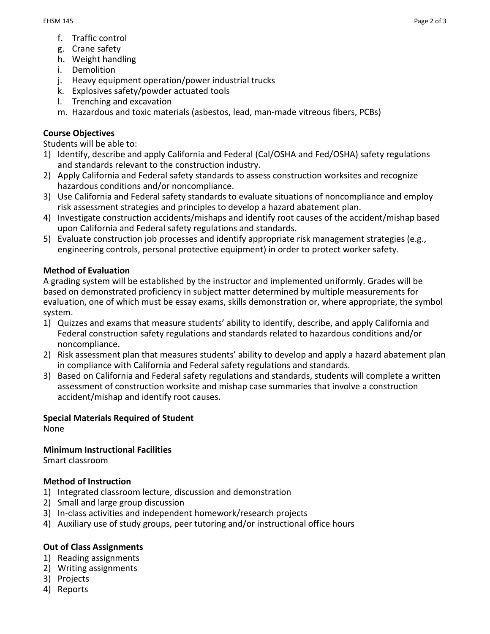- f. Traffic control
- g. Crane safety
- h. Weight handling
- i. Demolition
- j. Heavy equipment operation/power industrial trucks
- k. Explosives safety/powder actuated tools
- l. Trenching and excavation
- m. Hazardous and toxic materials (asbestos, lead, man-made vitreous fibers, PCBs)

# **Course Objectives**

Students will be able to:

- 1) Identify, describe and apply California and Federal (Cal/OSHA and Fed/OSHA) safety regulations and standards relevant to the construction industry.
- 2) Apply California and Federal safety standards to assess construction worksites and recognize hazardous conditions and/or noncompliance.
- 3) Use California and Federal safety standards to evaluate situations of noncompliance and employ risk assessment strategies and principles to develop a hazard abatement plan.
- 4) Investigate construction accidents/mishaps and identify root causes of the accident/mishap based upon California and Federal safety regulations and standards.
- 5) Evaluate construction job processes and identify appropriate risk management strategies (e.g., engineering controls, personal protective equipment) in order to protect worker safety.

# **Method of Evaluation**

A grading system will be established by the instructor and implemented uniformly. Grades will be based on demonstrated proficiency in subject matter determined by multiple measurements for evaluation, one of which must be essay exams, skills demonstration or, where appropriate, the symbol system.

- 1) Quizzes and exams that measure students' ability to identify, describe, and apply California and Federal construction safety regulations and standards related to hazardous conditions and/or noncompliance.
- 2) Risk assessment plan that measures students' ability to develop and apply a hazard abatement plan in compliance with California and Federal safety regulations and standards.
- 3) Based on California and Federal safety regulations and standards, students will complete a written assessment of construction worksite and mishap case summaries that involve a construction accident/mishap and identify root causes.

### **Special Materials Required of Student**

None

### **Minimum Instructional Facilities**

Smart classroom

### **Method of Instruction**

- 1) Integrated classroom lecture, discussion and demonstration
- 2) Small and large group discussion
- 3) In-class activities and independent homework/research projects
- 4) Auxiliary use of study groups, peer tutoring and/or instructional office hours

### **Out of Class Assignments**

- 1) Reading assignments
- 2) Writing assignments
- 3) Projects
- 4) Reports